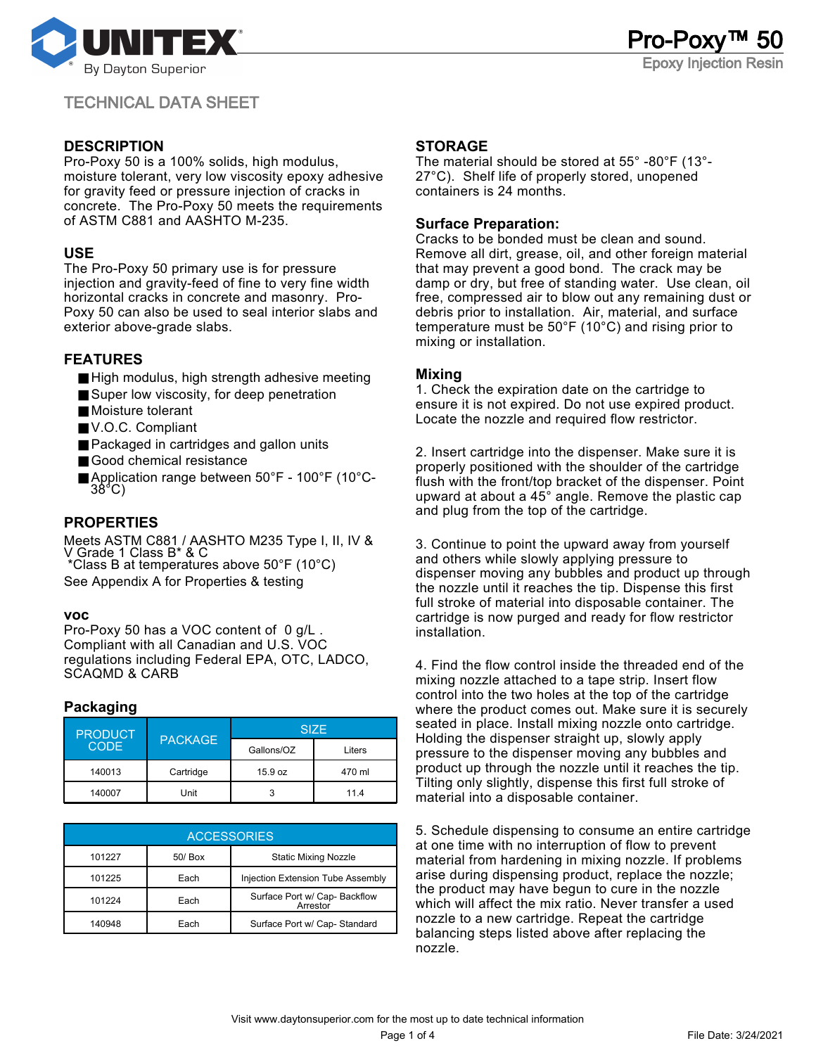

## **DESCRIPTION**

Pro-Poxy 50 is a 100% solids, high modulus, moisture tolerant, very low viscosity epoxy adhesive for gravity feed or pressure injection of cracks in concrete. The Pro-Poxy 50 meets the requirements of ASTM C881 and AASHTO M-235.

## **USE**

The Pro-Poxy 50 primary use is for pressure injection and gravity-feed of fine to very fine width horizontal cracks in concrete and masonry. Pro-Poxy 50 can also be used to seal interior slabs and exterior above-grade slabs.

## **FEATURES**

- High modulus, high strength adhesive meeting
- Super low viscosity, for deep penetration
- Moisture tolerant
- V.O.C. Compliant
- Packaged in cartridges and gallon units
- Good chemical resistance
- Application range between 50°F 100°F (10°C-38°C)

# **PROPERTIES**

Meets ASTM C881 / AASHTO M235 Type I, II, IV & V Grade 1 Class B\* & C \*Class B at temperatures above 50°F (10°C)

See Appendix A for Properties & testing

#### **voc**

Pro-Poxy 50 has a VOC content of 0 g/L. Compliant with all Canadian and U.S. VOC regulations including Federal EPA, OTC, LADCO, SCAQMD & CARB

# **Packaging**

| <b>PRODUCT</b><br><b>CODE</b> | <b>PACKAGE</b> | <b>SIZE</b> |        |  |
|-------------------------------|----------------|-------------|--------|--|
|                               |                | Gallons/OZ  | Liters |  |
| 140013                        | Cartridge      | 15.9 oz     | 470 ml |  |
| 140007                        | Unit           |             | 114    |  |

| <b>ACCESSORIES</b> |           |                                           |  |  |  |
|--------------------|-----------|-------------------------------------------|--|--|--|
| 101227             | $50/$ Box | <b>Static Mixing Nozzle</b>               |  |  |  |
| 101225             | Each      | Injection Extension Tube Assembly         |  |  |  |
| 101224             | Each      | Surface Port w/ Cap- Backflow<br>Arrestor |  |  |  |
| 140948             | Each      | Surface Port w/ Cap-Standard              |  |  |  |

## **STORAGE**

The material should be stored at 55° -80°F (13°- 27°C). Shelf life of properly stored, unopened containers is 24 months.

### **Surface Preparation:**

Cracks to be bonded must be clean and sound. Remove all dirt, grease, oil, and other foreign material that may prevent a good bond. The crack may be damp or dry, but free of standing water. Use clean, oil free, compressed air to blow out any remaining dust or debris prior to installation. Air, material, and surface temperature must be 50°F (10°C) and rising prior to mixing or installation.

### **Mixing**

1. Check the expiration date on the cartridge to ensure it is not expired. Do not use expired product. Locate the nozzle and required flow restrictor.

2. Insert cartridge into the dispenser. Make sure it is properly positioned with the shoulder of the cartridge flush with the front/top bracket of the dispenser. Point upward at about a 45° angle. Remove the plastic cap and plug from the top of the cartridge.

3. Continue to point the upward away from yourself and others while slowly applying pressure to dispenser moving any bubbles and product up through the nozzle until it reaches the tip. Dispense this first full stroke of material into disposable container. The cartridge is now purged and ready for flow restrictor installation.

4. Find the flow control inside the threaded end of the mixing nozzle attached to a tape strip. Insert flow control into the two holes at the top of the cartridge where the product comes out. Make sure it is securely seated in place. Install mixing nozzle onto cartridge. Holding the dispenser straight up, slowly apply pressure to the dispenser moving any bubbles and product up through the nozzle until it reaches the tip. Tilting only slightly, dispense this first full stroke of material into a disposable container.

5. Schedule dispensing to consume an entire cartridge at one time with no interruption of flow to prevent material from hardening in mixing nozzle. If problems arise during dispensing product, replace the nozzle; the product may have begun to cure in the nozzle which will affect the mix ratio. Never transfer a used nozzle to a new cartridge. Repeat the cartridge balancing steps listed above after replacing the nozzle.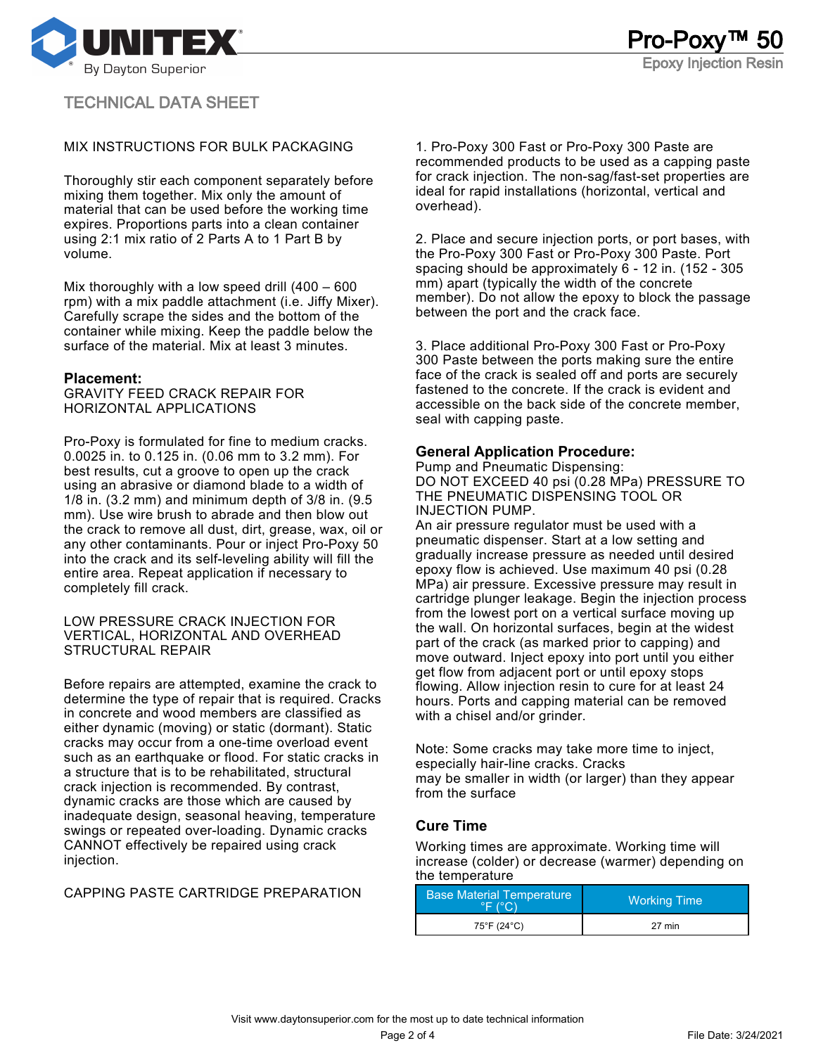

### MIX INSTRUCTIONS FOR BULK PACKAGING

Thoroughly stir each component separately before mixing them together. Mix only the amount of material that can be used before the working time expires. Proportions parts into a clean container using 2:1 mix ratio of 2 Parts A to 1 Part B by volume.

Mix thoroughly with a low speed drill (400 – 600 rpm) with a mix paddle attachment (i.e. Jiffy Mixer). Carefully scrape the sides and the bottom of the container while mixing. Keep the paddle below the surface of the material. Mix at least 3 minutes.

#### **Placement:**

GRAVITY FEED CRACK REPAIR FOR HORIZONTAL APPLICATIONS

Pro-Poxy is formulated for fine to medium cracks. 0.0025 in. to 0.125 in. (0.06 mm to 3.2 mm). For best results, cut a groove to open up the crack using an abrasive or diamond blade to a width of 1/8 in. (3.2 mm) and minimum depth of 3/8 in. (9.5 mm). Use wire brush to abrade and then blow out the crack to remove all dust, dirt, grease, wax, oil or any other contaminants. Pour or inject Pro-Poxy 50 into the crack and its self-leveling ability will fill the entire area. Repeat application if necessary to completely fill crack.

#### LOW PRESSURE CRACK INJECTION FOR VERTICAL, HORIZONTAL AND OVERHEAD STRUCTURAL REPAIR

Before repairs are attempted, examine the crack to determine the type of repair that is required. Cracks in concrete and wood members are classified as either dynamic (moving) or static (dormant). Static cracks may occur from a one-time overload event such as an earthquake or flood. For static cracks in a structure that is to be rehabilitated, structural crack injection is recommended. By contrast, dynamic cracks are those which are caused by inadequate design, seasonal heaving, temperature swings or repeated over-loading. Dynamic cracks CANNOT effectively be repaired using crack injection.

CAPPING PASTE CARTRIDGE PREPARATION

1. Pro-Poxy 300 Fast or Pro-Poxy 300 Paste are recommended products to be used as a capping paste for crack injection. The non-sag/fast-set properties are ideal for rapid installations (horizontal, vertical and overhead).

2. Place and secure injection ports, or port bases, with the Pro-Poxy 300 Fast or Pro-Poxy 300 Paste. Port spacing should be approximately 6 - 12 in. (152 - 305 mm) apart (typically the width of the concrete member). Do not allow the epoxy to block the passage between the port and the crack face.

3. Place additional Pro-Poxy 300 Fast or Pro-Poxy 300 Paste between the ports making sure the entire face of the crack is sealed off and ports are securely fastened to the concrete. If the crack is evident and accessible on the back side of the concrete member, seal with capping paste.

### **General Application Procedure:**

Pump and Pneumatic Dispensing: DO NOT EXCEED 40 psi (0.28 MPa) PRESSURE TO THE PNEUMATIC DISPENSING TOOL OR INJECTION PUMP.

An air pressure regulator must be used with a pneumatic dispenser. Start at a low setting and gradually increase pressure as needed until desired epoxy flow is achieved. Use maximum 40 psi (0.28 MPa) air pressure. Excessive pressure may result in cartridge plunger leakage. Begin the injection process from the lowest port on a vertical surface moving up the wall. On horizontal surfaces, begin at the widest part of the crack (as marked prior to capping) and move outward. Inject epoxy into port until you either get flow from adjacent port or until epoxy stops flowing. Allow injection resin to cure for at least 24 hours. Ports and capping material can be removed with a chisel and/or grinder.

Note: Some cracks may take more time to inject, especially hair-line cracks. Cracks may be smaller in width (or larger) than they appear from the surface

# **Cure Time**

Working times are approximate. Working time will increase (colder) or decrease (warmer) depending on the temperature

| <b>Base Material Temperature</b><br>$\circ$ $\Box$ $\circ$ $\circ$ $\circ$ | <b>Working Time</b> |  |  |
|----------------------------------------------------------------------------|---------------------|--|--|
| 75°F (24°C)                                                                | 27 min              |  |  |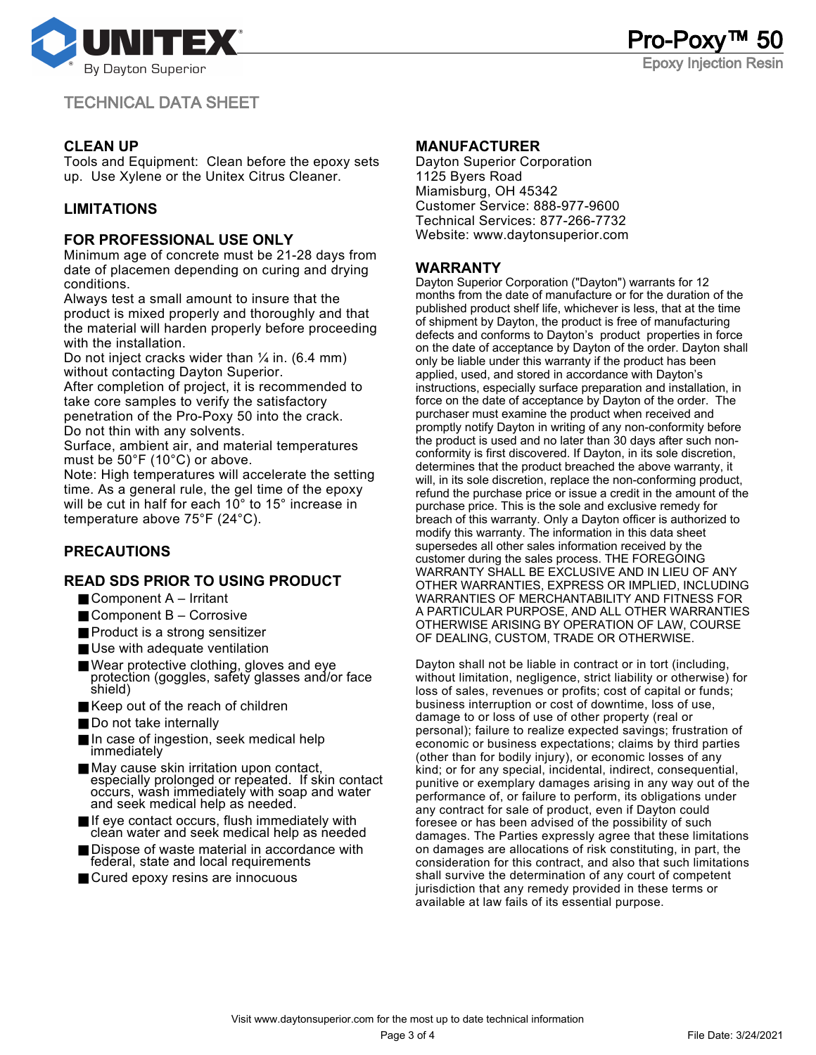

# **CLEAN UP**

Tools and Equipment: Clean before the epoxy sets up. Use Xylene or the Unitex Citrus Cleaner.

# **LIMITATIONS**

#### **FOR PROFESSIONAL USE ONLY**

Minimum age of concrete must be 21-28 days from date of placemen depending on curing and drying conditions.

Always test a small amount to insure that the product is mixed properly and thoroughly and that the material will harden properly before proceeding with the installation.

Do not inject cracks wider than  $\frac{1}{4}$  in. (6.4 mm) without contacting Dayton Superior.

After completion of project, it is recommended to take core samples to verify the satisfactory penetration of the Pro-Poxy 50 into the crack. Do not thin with any solvents.

Surface, ambient air, and material temperatures must be 50°F (10°C) or above.

Note: High temperatures will accelerate the setting time. As a general rule, the gel time of the epoxy will be cut in half for each 10° to 15° increase in temperature above 75°F (24°C).

# **PRECAUTIONS**

### **READ SDS PRIOR TO USING PRODUCT**

- $\blacksquare$  Component A Irritant
- Component B Corrosive
- Product is a strong sensitizer
- Use with adequate ventilation
- Wear protective clothing, gloves and eye protection (goggles, safety glasses and/or face shield)
- Keep out of the reach of children
- Do not take internally
- In case of ingestion, seek medical help immediately
- May cause skin irritation upon contact, especially prolonged or repeated. If skin contact occurs, wash immediately with soap and water and seek medical help as needed.
- If eye contact occurs, flush immediately with clean water and seek medical help as needed
- Dispose of waste material in accordance with federal, state and local requirements
- Cured epoxy resins are innocuous

#### **MANUFACTURER**

Dayton Superior Corporation 1125 Byers Road Miamisburg, OH 45342 Customer Service: 888-977-9600 Technical Services: 877-266-7732 Website: www.daytonsuperior.com

## **WARRANTY**

Dayton Superior Corporation ("Dayton") warrants for 12 months from the date of manufacture or for the duration of the published product shelf life, whichever is less, that at the time of shipment by Dayton, the product is free of manufacturing defects and conforms to Dayton's product properties in force on the date of acceptance by Dayton of the order. Dayton shall only be liable under this warranty if the product has been applied, used, and stored in accordance with Dayton's instructions, especially surface preparation and installation, in force on the date of acceptance by Dayton of the order. The purchaser must examine the product when received and promptly notify Dayton in writing of any non-conformity before the product is used and no later than 30 days after such nonconformity is first discovered. If Dayton, in its sole discretion, determines that the product breached the above warranty, it will, in its sole discretion, replace the non-conforming product, refund the purchase price or issue a credit in the amount of the purchase price. This is the sole and exclusive remedy for breach of this warranty. Only a Dayton officer is authorized to modify this warranty. The information in this data sheet supersedes all other sales information received by the customer during the sales process. THE FOREGOING WARRANTY SHALL BE EXCLUSIVE AND IN LIEU OF ANY OTHER WARRANTIES, EXPRESS OR IMPLIED, INCLUDING WARRANTIES OF MERCHANTABILITY AND FITNESS FOR A PARTICULAR PURPOSE, AND ALL OTHER WARRANTIES OTHERWISE ARISING BY OPERATION OF LAW, COURSE OF DEALING, CUSTOM, TRADE OR OTHERWISE.

Pro-Poxy

Epoxy Injection Resin

Dayton shall not be liable in contract or in tort (including, without limitation, negligence, strict liability or otherwise) for loss of sales, revenues or profits; cost of capital or funds; business interruption or cost of downtime, loss of use, damage to or loss of use of other property (real or personal); failure to realize expected savings; frustration of economic or business expectations; claims by third parties (other than for bodily injury), or economic losses of any kind; or for any special, incidental, indirect, consequential, punitive or exemplary damages arising in any way out of the performance of, or failure to perform, its obligations under any contract for sale of product, even if Dayton could foresee or has been advised of the possibility of such damages. The Parties expressly agree that these limitations on damages are allocations of risk constituting, in part, the consideration for this contract, and also that such limitations shall survive the determination of any court of competent jurisdiction that any remedy provided in these terms or available at law fails of its essential purpose.